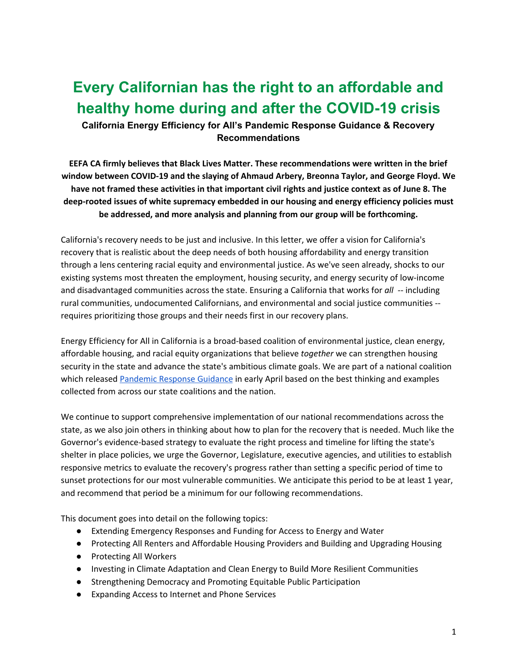# **Every Californian has the right to an affordable and healthy home during and after the COVID-19 crisis**

**California Energy Efficiency for All's Pandemic Response Guidance & Recovery Recommendations**

**EEFA CA firmly believes that Black Lives Matter. These recommendations were written in the brief window between COVID-19 and the slaying of Ahmaud Arbery, Breonna Taylor, and George Floyd. We** have not framed these activities in that important civil rights and justice context as of June 8. The **deep-rooted issues of white supremacy embedded in our housing and energy efficiency policies must be addressed, and more analysis and planning from our group will be forthcoming.**

California's recovery needs to be just and inclusive. In this letter, we offer a vision for California's recovery that is realistic about the deep needs of both housing affordability and energy transition through a lens centering racial equity and environmental justice. As we've seen already, shocks to our existing systems most threaten the employment, housing security, and energy security of low-income and disadvantaged communities across the state. Ensuring a California that works for all -- including rural communities, undocumented Californians, and environmental and social justice communities - requires prioritizing those groups and their needs first in our recovery plans.

Energy Efficiency for All in California is a broad-based coalition of environmental justice, clean energy, affordable housing, and racial equity organizations that believe *together* we can strengthen housing security in the state and advance the state's ambitious climate goals. We are part of a national coalition which released [Pandemic](https://www.energyefficiencyforall.org/resources/eefa-pandemic-response-guidance/) Response Guidance in early April based on the best thinking and examples collected from across our state coalitions and the nation.

We continue to support comprehensive implementation of our national recommendations across the state, as we also join others in thinking about how to plan for the recovery that is needed. Much like the Governor's evidence-based strategy to evaluate the right process and timeline for lifting the state's shelter in place policies, we urge the Governor, Legislature, executive agencies, and utilities to establish responsive metrics to evaluate the recovery's progress rather than setting a specific period of time to sunset protections for our most vulnerable communities. We anticipate this period to be at least 1 year, and recommend that period be a minimum for our following recommendations.

This document goes into detail on the following topics:

- Extending Emergency Responses and Funding for Access to Energy and Water
- Protecting All Renters and Affordable Housing Providers and Building and Upgrading Housing
- Protecting All Workers
- Investing in Climate Adaptation and Clean Energy to Build More Resilient Communities
- Strengthening Democracy and Promoting Equitable Public Participation
- Expanding Access to Internet and Phone Services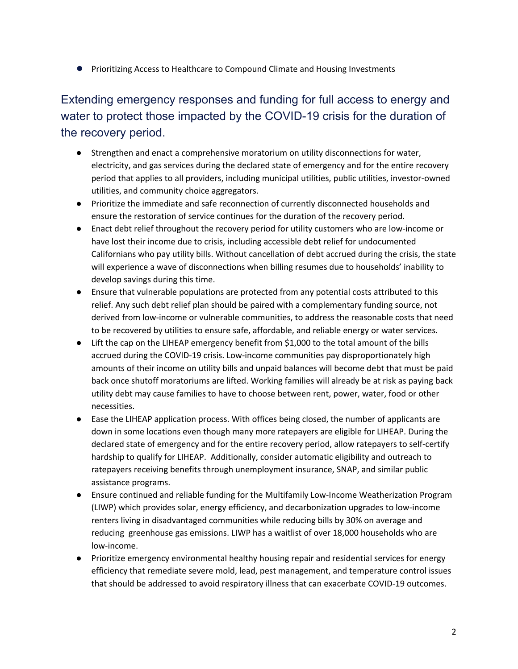● Prioritizing Access to Healthcare to Compound Climate and Housing Investments

Extending emergency responses and funding for full access to energy and water to protect those impacted by the COVID-19 crisis for the duration of the recovery period.

- Strengthen and enact a comprehensive moratorium on utility disconnections for water, electricity, and gas services during the declared state of emergency and for the entire recovery period that applies to all providers, including municipal utilities, public utilities, investor-owned utilities, and community choice aggregators.
- Prioritize the immediate and safe reconnection of currently disconnected households and ensure the restoration of service continues for the duration of the recovery period.
- Enact debt relief throughout the recovery period for utility customers who are low-income or have lost their income due to crisis, including accessible debt relief for undocumented Californians who pay utility bills. Without cancellation of debt accrued during the crisis, the state will experience a wave of disconnections when billing resumes due to households' inability to develop savings during this time.
- Ensure that vulnerable populations are protected from any potential costs attributed to this relief. Any such debt relief plan should be paired with a complementary funding source, not derived from low-income or vulnerable communities, to address the reasonable costs that need to be recovered by utilities to ensure safe, affordable, and reliable energy or water services.
- Lift the cap on the LIHEAP emergency benefit from \$1,000 to the total amount of the bills accrued during the COVID-19 crisis. Low-income communities pay disproportionately high amounts of their income on utility bills and unpaid balances will become debt that must be paid back once shutoff moratoriums are lifted. Working families will already be at risk as paying back utility debt may cause families to have to choose between rent, power, water, food or other necessities.
- Ease the LIHEAP application process. With offices being closed, the number of applicants are down in some locations even though many more ratepayers are eligible for LIHEAP. During the declared state of emergency and for the entire recovery period, allow ratepayers to self-certify hardship to qualify for LIHEAP. Additionally, consider automatic eligibility and outreach to ratepayers receiving benefits through unemployment insurance, SNAP, and similar public assistance programs.
- Ensure continued and reliable funding for the Multifamily Low-Income Weatherization Program (LIWP) which provides solar, energy efficiency, and decarbonization upgrades to low-income renters living in disadvantaged communities while reducing bills by 30% on average and reducing greenhouse gas emissions. LIWP has a waitlist of over 18,000 households who are low-income.
- Prioritize emergency environmental healthy housing repair and residential services for energy efficiency that remediate severe mold, lead, pest management, and temperature control issues that should be addressed to avoid respiratory illness that can exacerbate COVID-19 outcomes.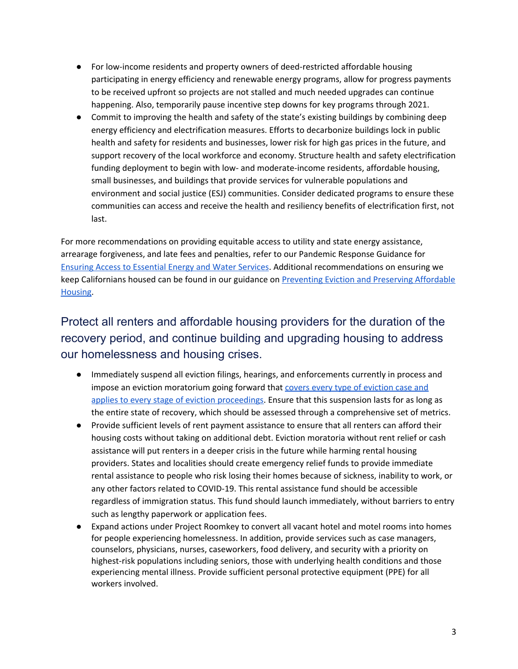- For low-income residents and property owners of deed-restricted affordable housing participating in energy efficiency and renewable energy programs, allow for progress payments to be received upfront so projects are not stalled and much needed upgrades can continue happening. Also, temporarily pause incentive step downs for key programs through 2021.
- Commit to improving the health and safety of the state's existing buildings by combining deep energy efficiency and electrification measures. Efforts to decarbonize buildings lock in public health and safety for residents and businesses, lower risk for high gas prices in the future, and support recovery of the local workforce and economy. Structure health and safety electrification funding deployment to begin with low- and moderate-income residents, affordable housing, small businesses, and buildings that provide services for vulnerable populations and environment and social justice (ESJ) communities. Consider dedicated programs to ensure these communities can access and receive the health and resiliency benefits of electrification first, not last.

For more recommendations on providing equitable access to utility and state energy assistance, arrearage forgiveness, and late fees and penalties, refer to our Pandemic Response Guidance for Ensuring Access to [Essential](https://www.energyefficiencyforall.org/resources/pandemic-response-guidance-ensuring-access-to-essential-energy-and-water-services/) Energy and Water Services. Additional recommendations on ensuring we keep Californians housed can be found in our guidance on [Preventing](https://www.energyefficiencyforall.org/resources/pandemic-response-guidance-preventing-eviction-and-preserving-affordable-housing/) Eviction and Preserving Affordable [Housing](https://www.energyefficiencyforall.org/resources/pandemic-response-guidance-preventing-eviction-and-preserving-affordable-housing/).

## Protect all renters and affordable housing providers for the duration of the recovery period, and continue building and upgrading housing to address our homelessness and housing crises.

- Immediately suspend all eviction filings, hearings, and enforcements currently in process and impose an eviction moratorium going forward that covers every type of [eviction](https://docs.google.com/document/d/14rz4hhMbIRbShHWccsFtIWV2FXn6NcgW0IBh9UTdM54/edit) case and applies to every stage of eviction [proceedings.](https://docs.google.com/document/d/14rz4hhMbIRbShHWccsFtIWV2FXn6NcgW0IBh9UTdM54/edit) Ensure that this suspension lasts for as long as the entire state of recovery, which should be assessed through a comprehensive set of metrics.
- Provide sufficient levels of rent payment assistance to ensure that all renters can afford their housing costs without taking on additional debt. Eviction moratoria without rent relief or cash assistance will put renters in a deeper crisis in the future while harming rental housing providers. States and localities should create emergency relief funds to provide immediate rental assistance to people who risk losing their homes because of sickness, inability to work, or any other factors related to COVID-19. This rental assistance fund should be accessible regardless of immigration status. This fund should launch immediately, without barriers to entry such as lengthy paperwork or application fees.
- Expand actions under Project Roomkey to convert all vacant hotel and motel rooms into homes for people experiencing homelessness. In addition, provide services such as case managers, counselors, physicians, nurses, caseworkers, food delivery, and security with a priority on highest-risk populations including seniors, those with underlying health conditions and those experiencing mental illness. Provide sufficient personal protective equipment (PPE) for all workers involved.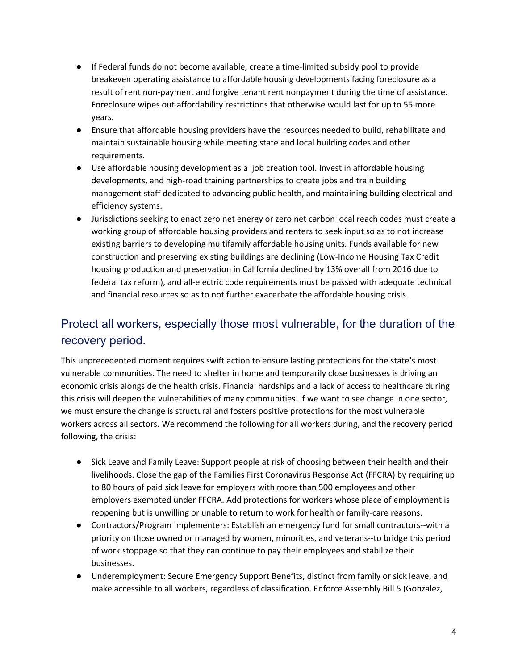- If Federal funds do not become available, create a time-limited subsidy pool to provide breakeven operating assistance to affordable housing developments facing foreclosure as a result of rent non-payment and forgive tenant rent nonpayment during the time of assistance. Foreclosure wipes out affordability restrictions that otherwise would last for up to 55 more years.
- Ensure that affordable housing providers have the resources needed to build, rehabilitate and maintain sustainable housing while meeting state and local building codes and other requirements.
- Use affordable housing development as a job creation tool. Invest in affordable housing developments, and high-road training partnerships to create jobs and train building management staff dedicated to advancing public health, and maintaining building electrical and efficiency systems.
- Jurisdictions seeking to enact zero net energy or zero net carbon local reach codes must create a working group of affordable housing providers and renters to seek input so as to not increase existing barriers to developing multifamily affordable housing units. Funds available for new construction and preserving existing buildings are declining (Low-Income Housing Tax Credit housing production and preservation in California declined by 13% overall from 2016 due to federal tax reform), and all-electric code requirements must be passed with adequate technical and financial resources so as to not further exacerbate the affordable housing crisis.

#### Protect all workers, especially those most vulnerable, for the duration of the recovery period.

This unprecedented moment requires swift action to ensure lasting protections for the state's most vulnerable communities. The need to shelter in home and temporarily close businesses is driving an economic crisis alongside the health crisis. Financial hardships and a lack of access to healthcare during this crisis will deepen the vulnerabilities of many communities. If we want to see change in one sector, we must ensure the change is structural and fosters positive protections for the most vulnerable workers across all sectors. We recommend the following for all workers during, and the recovery period following, the crisis:

- Sick Leave and Family Leave: Support people at risk of choosing between their health and their livelihoods. Close the gap of the Families First Coronavirus Response Act (FFCRA) by requiring up to 80 hours of paid sick leave for employers with more than 500 employees and other employers exempted under FFCRA. Add protections for workers whose place of employment is reopening but is unwilling or unable to return to work for health or family-care reasons.
- Contractors/Program Implementers: Establish an emergency fund for small contractors--with a priority on those owned or managed by women, minorities, and veterans--to bridge this period of work stoppage so that they can continue to pay their employees and stabilize their businesses.
- Underemployment: Secure Emergency Support Benefits, distinct from family or sick leave, and make accessible to all workers, regardless of classification. Enforce Assembly Bill 5 (Gonzalez,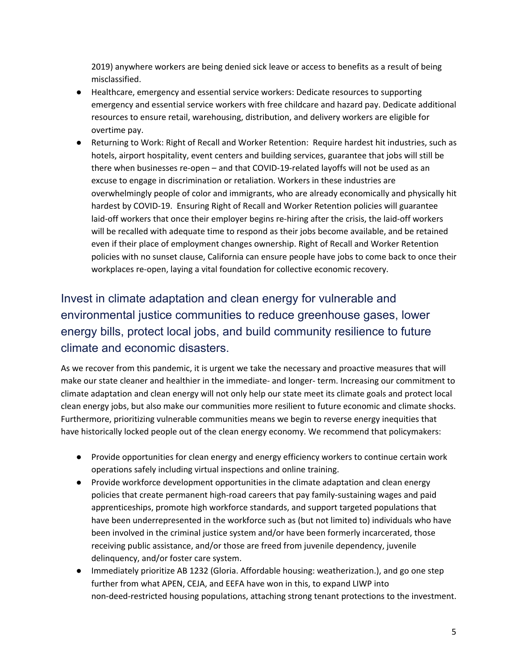2019) anywhere workers are being denied sick leave or access to benefits as a result of being misclassified.

- Healthcare, emergency and essential service workers: Dedicate resources to supporting emergency and essential service workers with free childcare and hazard pay. Dedicate additional resources to ensure retail, warehousing, distribution, and delivery workers are eligible for overtime pay.
- Returning to Work: Right of Recall and Worker Retention: Require hardest hit industries, such as hotels, airport hospitality, event centers and building services, guarantee that jobs will still be there when businesses re-open – and that COVID-19-related layoffs will not be used as an excuse to engage in discrimination or retaliation. Workers in these industries are overwhelmingly people of color and immigrants, who are already economically and physically hit hardest by COVID-19. Ensuring Right of Recall and Worker Retention policies will guarantee laid-off workers that once their employer begins re-hiring after the crisis, the laid-off workers will be recalled with adequate time to respond as their jobs become available, and be retained even if their place of employment changes ownership. Right of Recall and Worker Retention policies with no sunset clause, California can ensure people have jobs to come back to once their workplaces re-open, laying a vital foundation for collective economic recovery.

## Invest in climate adaptation and clean energy for vulnerable and environmental justice communities to reduce greenhouse gases, lower energy bills, protect local jobs, and build community resilience to future climate and economic disasters.

As we recover from this pandemic, it is urgent we take the necessary and proactive measures that will make our state cleaner and healthier in the immediate- and longer- term. Increasing our commitment to climate adaptation and clean energy will not only help our state meet its climate goals and protect local clean energy jobs, but also make our communities more resilient to future economic and climate shocks. Furthermore, prioritizing vulnerable communities means we begin to reverse energy inequities that have historically locked people out of the clean energy economy. We recommend that policymakers:

- Provide opportunities for clean energy and energy efficiency workers to continue certain work operations safely including virtual inspections and online training.
- Provide workforce development opportunities in the climate adaptation and clean energy policies that create permanent high-road careers that pay family-sustaining wages and paid apprenticeships, promote high workforce standards, and support targeted populations that have been underrepresented in the workforce such as (but not limited to) individuals who have been involved in the criminal justice system and/or have been formerly incarcerated, those receiving public assistance, and/or those are freed from juvenile dependency, juvenile delinquency, and/or foster care system.
- Immediately prioritize AB 1232 (Gloria. Affordable housing: weatherization.), and go one step further from what APEN, CEJA, and EEFA have won in this, to expand LIWP into non-deed-restricted housing populations, attaching strong tenant protections to the investment.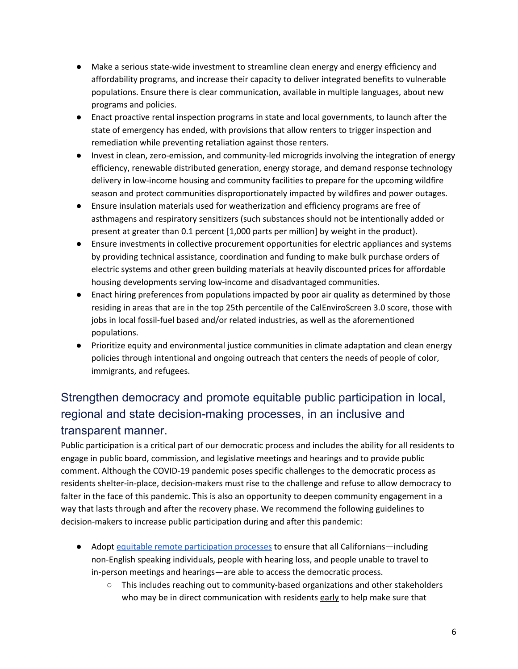- Make a serious state-wide investment to streamline clean energy and energy efficiency and affordability programs, and increase their capacity to deliver integrated benefits to vulnerable populations. Ensure there is clear communication, available in multiple languages, about new programs and policies.
- Enact proactive rental inspection programs in state and local governments, to launch after the state of emergency has ended, with provisions that allow renters to trigger inspection and remediation while preventing retaliation against those renters.
- Invest in clean, zero-emission, and community-led microgrids involving the integration of energy efficiency, renewable distributed generation, energy storage, and demand response technology delivery in low-income housing and community facilities to prepare for the upcoming wildfire season and protect communities disproportionately impacted by wildfires and power outages.
- Ensure insulation materials used for weatherization and efficiency programs are free of asthmagens and respiratory sensitizers (such substances should not be intentionally added or present at greater than 0.1 percent [1,000 parts per million] by weight in the product).
- Ensure investments in collective procurement opportunities for electric appliances and systems by providing technical assistance, coordination and funding to make bulk purchase orders of electric systems and other green building materials at heavily discounted prices for affordable housing developments serving low-income and disadvantaged communities.
- Enact hiring preferences from populations impacted by poor air quality as determined by those residing in areas that are in the top 25th percentile of the CalEnviroScreen 3.0 score, those with jobs in local fossil-fuel based and/or related industries, as well as the aforementioned populations.
- Prioritize equity and environmental justice communities in climate adaptation and clean energy policies through intentional and ongoing outreach that centers the needs of people of color, immigrants, and refugees.

## Strengthen democracy and promote equitable public participation in local, regional and state decision-making processes, in an inclusive and transparent manner.

Public participation is a critical part of our democratic process and includes the ability for all residents to engage in public board, commission, and legislative meetings and hearings and to provide public comment. Although the COVID-19 pandemic poses specific challenges to the democratic process as residents shelter-in-place, decision-makers must rise to the challenge and refuse to allow democracy to falter in the face of this pandemic. This is also an opportunity to deepen community engagement in a way that lasts through and after the recovery phase. We recommend the following guidelines to decision-makers to increase public participation during and after this pandemic:

- Adopt equitable remote [participation](https://leadershipcounsel.org/wp-content/uploads/2020/04/Public-Participation-LCJA-Website-PDF.pdf) processes to ensure that all Californians—including non-English speaking individuals, people with hearing loss, and people unable to travel to in-person meetings and hearings—are able to access the democratic process.
	- This includes reaching out to community-based organizations and other stakeholders who may be in direct communication with residents early to help make sure that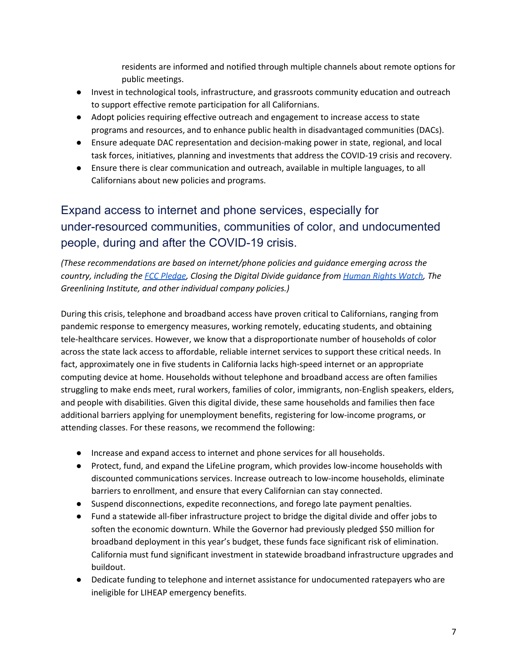residents are informed and notified through multiple channels about remote options for public meetings.

- Invest in technological tools, infrastructure, and grassroots community education and outreach to support effective remote participation for all Californians.
- Adopt policies requiring effective outreach and engagement to increase access to state programs and resources, and to enhance public health in disadvantaged communities (DACs).
- Ensure adequate DAC representation and decision-making power in state, regional, and local task forces, initiatives, planning and investments that address the COVID-19 crisis and recovery.
- Ensure there is clear communication and outreach, available in multiple languages, to all Californians about new policies and programs.

## Expand access to internet and phone services, especially for under-resourced communities, communities of color, and undocumented people, during and after the COVID-19 crisis.

*(These recommendations are based on internet/phone policies and guidance emerging across the country, including the FCC [Pledge](https://docs.fcc.gov/public/attachments/DOC-363033A1.pdf), Closing the Digital Divide guidance from [Human](https://www.hrw.org/news/2020/03/25/closing-digital-divide-critical-covid-19-response#) Rights Watch, The Greenlining Institute, and other individual company policies.)*

During this crisis, telephone and broadband access have proven critical to Californians, ranging from pandemic response to emergency measures, working remotely, educating students, and obtaining tele-healthcare services. However, we know that a disproportionate number of households of color across the state lack access to affordable, reliable internet services to support these critical needs. In fact, approximately one in five students in California lacks high-speed internet or an appropriate computing device at home. Households without telephone and broadband access are often families struggling to make ends meet, rural workers, families of color, immigrants, non-English speakers, elders, and people with disabilities. Given this digital divide, these same households and families then face additional barriers applying for unemployment benefits, registering for low-income programs, or attending classes. For these reasons, we recommend the following:

- Increase and expand access to internet and phone services for all households.
- Protect, fund, and expand the LifeLine program, which provides low-income households with discounted communications services. Increase outreach to low-income households, eliminate barriers to enrollment, and ensure that every Californian can stay connected.
- Suspend disconnections, expedite reconnections, and forego late payment penalties.
- Fund a statewide all-fiber infrastructure project to bridge the digital divide and offer jobs to soften the economic downturn. While the Governor had previously pledged \$50 million for broadband deployment in this year's budget, these funds face significant risk of elimination. California must fund significant investment in statewide broadband infrastructure upgrades and buildout.
- Dedicate funding to telephone and internet assistance for undocumented ratepayers who are ineligible for LIHEAP emergency benefits.